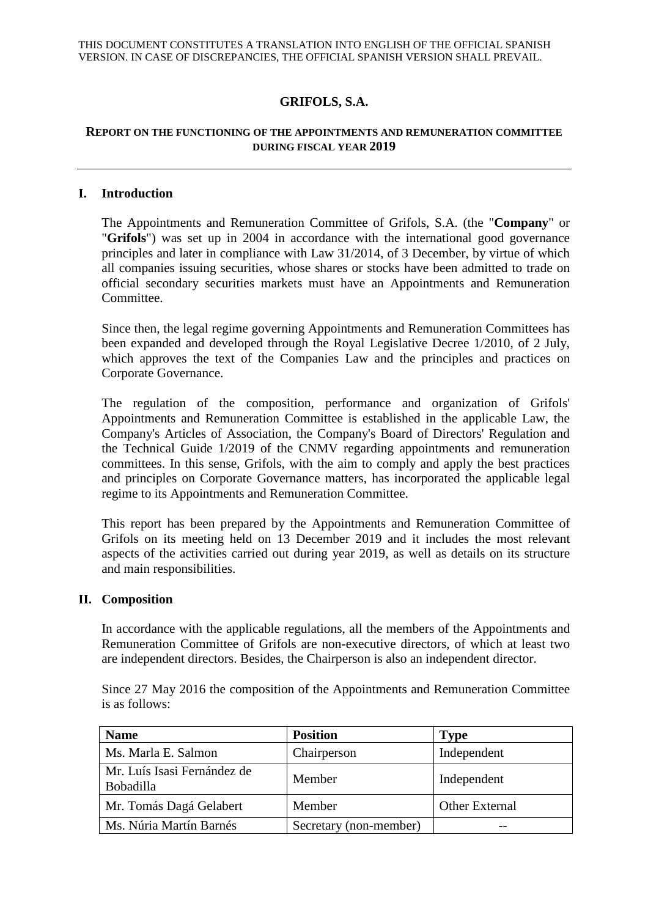# **GRIFOLS, S.A.**

### **REPORT ON THE FUNCTIONING OF THE APPOINTMENTS AND REMUNERATION COMMITTEE DURING FISCAL YEAR 2019**

#### **I. Introduction**

The Appointments and Remuneration Committee of Grifols, S.A. (the "**Company**" or "**Grifols**") was set up in 2004 in accordance with the international good governance principles and later in compliance with Law 31/2014, of 3 December, by virtue of which all companies issuing securities, whose shares or stocks have been admitted to trade on official secondary securities markets must have an Appointments and Remuneration Committee.

Since then, the legal regime governing Appointments and Remuneration Committees has been expanded and developed through the Royal Legislative Decree 1/2010, of 2 July, which approves the text of the Companies Law and the principles and practices on Corporate Governance.

The regulation of the composition, performance and organization of Grifols' Appointments and Remuneration Committee is established in the applicable Law, the Company's Articles of Association, the Company's Board of Directors' Regulation and the Technical Guide 1/2019 of the CNMV regarding appointments and remuneration committees. In this sense, Grifols, with the aim to comply and apply the best practices and principles on Corporate Governance matters, has incorporated the applicable legal regime to its Appointments and Remuneration Committee.

This report has been prepared by the Appointments and Remuneration Committee of Grifols on its meeting held on 13 December 2019 and it includes the most relevant aspects of the activities carried out during year 2019, as well as details on its structure and main responsibilities.

#### **II. Composition**

In accordance with the applicable regulations, all the members of the Appointments and Remuneration Committee of Grifols are non-executive directors, of which at least two are independent directors. Besides, the Chairperson is also an independent director.

Since 27 May 2016 the composition of the Appointments and Remuneration Committee is as follows:

| <b>Name</b>                              | <b>Position</b>        | <b>Type</b>           |
|------------------------------------------|------------------------|-----------------------|
| Ms. Marla E. Salmon                      | Chairperson            | Independent           |
| Mr. Luís Isasi Fernández de<br>Bobadilla | Member                 | Independent           |
| Mr. Tomás Dagá Gelabert                  | Member                 | <b>Other External</b> |
| Ms. Núria Martín Barnés                  | Secretary (non-member) |                       |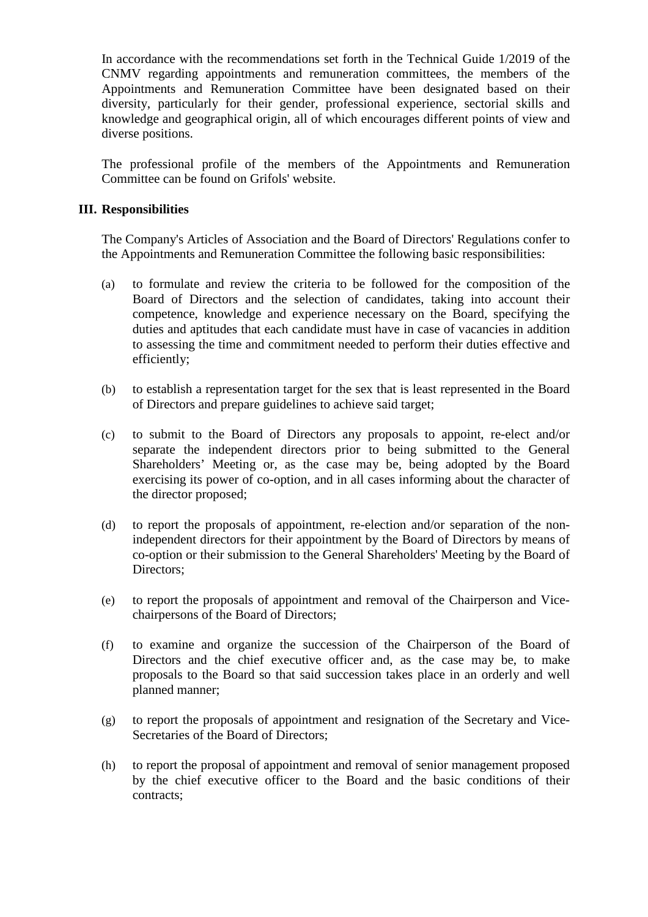In accordance with the recommendations set forth in the Technical Guide 1/2019 of the CNMV regarding appointments and remuneration committees, the members of the Appointments and Remuneration Committee have been designated based on their diversity, particularly for their gender, professional experience, sectorial skills and knowledge and geographical origin, all of which encourages different points of view and diverse positions.

The professional profile of the members of the Appointments and Remuneration Committee can be found on Grifols' website.

#### **III. Responsibilities**

The Company's Articles of Association and the Board of Directors' Regulations confer to the Appointments and Remuneration Committee the following basic responsibilities:

- (a) to formulate and review the criteria to be followed for the composition of the Board of Directors and the selection of candidates, taking into account their competence, knowledge and experience necessary on the Board, specifying the duties and aptitudes that each candidate must have in case of vacancies in addition to assessing the time and commitment needed to perform their duties effective and efficiently;
- (b) to establish a representation target for the sex that is least represented in the Board of Directors and prepare guidelines to achieve said target;
- (c) to submit to the Board of Directors any proposals to appoint, re-elect and/or separate the independent directors prior to being submitted to the General Shareholders' Meeting or, as the case may be, being adopted by the Board exercising its power of co-option, and in all cases informing about the character of the director proposed;
- (d) to report the proposals of appointment, re-election and/or separation of the nonindependent directors for their appointment by the Board of Directors by means of co-option or their submission to the General Shareholders' Meeting by the Board of Directors;
- (e) to report the proposals of appointment and removal of the Chairperson and Vicechairpersons of the Board of Directors;
- (f) to examine and organize the succession of the Chairperson of the Board of Directors and the chief executive officer and, as the case may be, to make proposals to the Board so that said succession takes place in an orderly and well planned manner;
- (g) to report the proposals of appointment and resignation of the Secretary and Vice-Secretaries of the Board of Directors;
- (h) to report the proposal of appointment and removal of senior management proposed by the chief executive officer to the Board and the basic conditions of their contracts;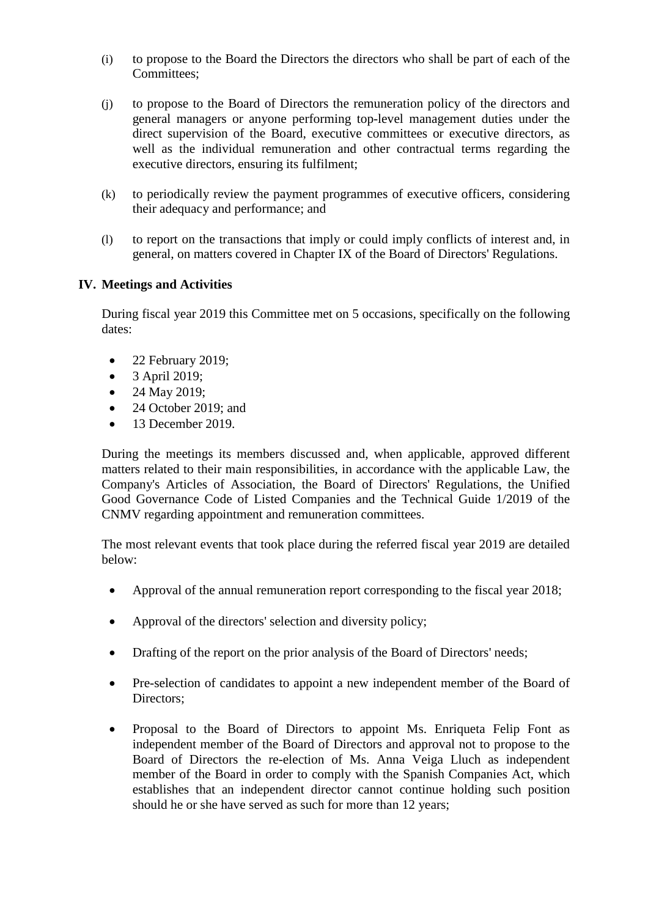- (i) to propose to the Board the Directors the directors who shall be part of each of the Committees;
- (j) to propose to the Board of Directors the remuneration policy of the directors and general managers or anyone performing top-level management duties under the direct supervision of the Board, executive committees or executive directors, as well as the individual remuneration and other contractual terms regarding the executive directors, ensuring its fulfilment;
- (k) to periodically review the payment programmes of executive officers, considering their adequacy and performance; and
- (l) to report on the transactions that imply or could imply conflicts of interest and, in general, on matters covered in Chapter IX of the Board of Directors' Regulations.

## **IV. Meetings and Activities**

During fiscal year 2019 this Committee met on 5 occasions, specifically on the following dates:

- $\bullet$  22 February 2019;
- $\bullet$  3 April 2019;
- 24 May 2019;
- 24 October 2019; and
- $\bullet$  13 December 2019.

During the meetings its members discussed and, when applicable, approved different matters related to their main responsibilities, in accordance with the applicable Law, the Company's Articles of Association, the Board of Directors' Regulations, the Unified Good Governance Code of Listed Companies and the Technical Guide 1/2019 of the CNMV regarding appointment and remuneration committees.

The most relevant events that took place during the referred fiscal year 2019 are detailed below:

- Approval of the annual remuneration report corresponding to the fiscal year 2018;
- Approval of the directors' selection and diversity policy;
- Drafting of the report on the prior analysis of the Board of Directors' needs;
- Pre-selection of candidates to appoint a new independent member of the Board of Directors:
- Proposal to the Board of Directors to appoint Ms. Enriqueta Felip Font as independent member of the Board of Directors and approval not to propose to the Board of Directors the re-election of Ms. Anna Veiga Lluch as independent member of the Board in order to comply with the Spanish Companies Act, which establishes that an independent director cannot continue holding such position should he or she have served as such for more than 12 years;